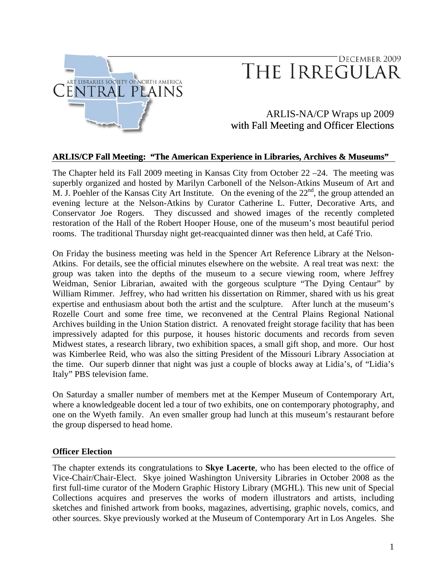

# DECEMBER 2009 THE IRREGULAR

# ARLIS-NA/CP Wraps up 2009 with Fall Meeting and Officer Elections

#### **ARLIS/CP Fall Meeting: "The American Experience in Libraries, Archives & Museums"**

The Chapter held its Fall 2009 meeting in Kansas City from October 22 –24. The meeting was superbly organized and hosted by Marilyn Carbonell of the Nelson-Atkins Museum of Art and M. J. Poehler of the Kansas City Art Institute. On the evening of the  $22<sup>nd</sup>$ , the group attended an evening lecture at the Nelson-Atkins by Curator Catherine L. Futter, Decorative Arts, and Conservator Joe Rogers. They discussed and showed images of the recently completed restoration of the Hall of the Robert Hooper House, one of the museum's most beautiful period rooms. The traditional Thursday night get-reacquainted dinner was then held, at Café Trio.

On Friday the business meeting was held in the Spencer Art Reference Library at the Nelson-Atkins. For details, see the official minutes elsewhere on the website. A real treat was next: the group was taken into the depths of the museum to a secure viewing room, where Jeffrey Weidman, Senior Librarian, awaited with the gorgeous sculpture "The Dying Centaur" by William Rimmer. Jeffrey, who had written his dissertation on Rimmer, shared with us his great expertise and enthusiasm about both the artist and the sculpture. After lunch at the museum's Rozelle Court and some free time, we reconvened at the Central Plains Regional National Archives building in the Union Station district. A renovated freight storage facility that has been impressively adapted for this purpose, it houses historic documents and records from seven Midwest states, a research library, two exhibition spaces, a small gift shop, and more. Our host was Kimberlee Reid, who was also the sitting President of the Missouri Library Association at the time. Our superb dinner that night was just a couple of blocks away at Lidia's, of "Lidia's Italy" PBS television fame.

On Saturday a smaller number of members met at the Kemper Museum of Contemporary Art, where a knowledgeable docent led a tour of two exhibits, one on contemporary photography, and one on the Wyeth family. An even smaller group had lunch at this museum's restaurant before the group dispersed to head home.

#### **Officer Election**

The chapter extends its congratulations to **Skye Lacerte**, who has been elected to the office of Vice-Chair/Chair-Elect. Skye joined Washington University Libraries in October 2008 as the first full-time curator of the Modern Graphic History Library (MGHL). This new unit of Special Collections acquires and preserves the works of modern illustrators and artists, including sketches and finished artwork from books, magazines, advertising, graphic novels, comics, and other sources. Skye previously worked at the Museum of Contemporary Art in Los Angeles. She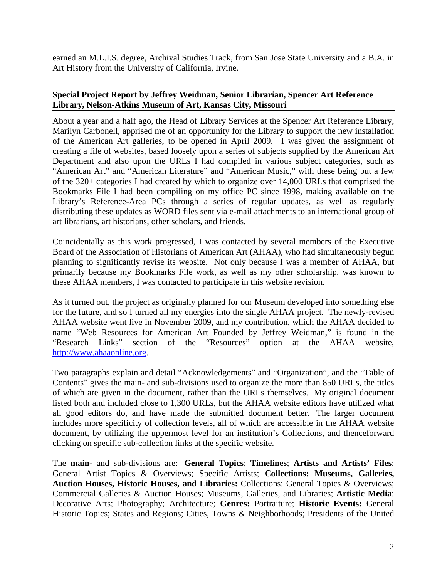earned an M.L.I.S. degree, Archival Studies Track, from San Jose State University and a B.A. in Art History from the University of California, Irvine.

#### **Special Project Report by Jeffrey Weidman, Senior Librarian, Spencer Art Reference Library, Nelson-Atkins Museum of Art, Kansas City, Missouri**

About a year and a half ago, the Head of Library Services at the Spencer Art Reference Library, Marilyn Carbonell, apprised me of an opportunity for the Library to support the new installation of the American Art galleries, to be opened in April 2009. I was given the assignment of creating a file of websites, based loosely upon a series of subjects supplied by the American Art Department and also upon the URLs I had compiled in various subject categories, such as "American Art" and "American Literature" and "American Music," with these being but a few of the 320+ categories I had created by which to organize over 14,000 URLs that comprised the Bookmarks File I had been compiling on my office PC since 1998, making available on the Library's Reference-Area PCs through a series of regular updates, as well as regularly distributing these updates as WORD files sent via e-mail attachments to an international group of art librarians, art historians, other scholars, and friends.

Coincidentally as this work progressed, I was contacted by several members of the Executive Board of the Association of Historians of American Art (AHAA), who had simultaneously begun planning to significantly revise its website. Not only because I was a member of AHAA, but primarily because my Bookmarks File work, as well as my other scholarship, was known to these AHAA members, I was contacted to participate in this website revision.

As it turned out, the project as originally planned for our Museum developed into something else for the future, and so I turned all my energies into the single AHAA project. The newly-revised AHAA website went live in November 2009, and my contribution, which the AHAA decided to name "Web Resources for American Art Founded by Jeffrey Weidman," is found in the "Research Links" section of the "Resources" option at the AHAA website, [http://www.ahaaonline.org.](http://www.ahaaonline.org/)

Two paragraphs explain and detail "Acknowledgements" and "Organization", and the "Table of Contents" gives the main- and sub-divisions used to organize the more than 850 URLs, the titles of which are given in the document, rather than the URLs themselves. My original document listed both and included close to 1,300 URLs, but the AHAA website editors have utilized what all good editors do, and have made the submitted document better. The larger document includes more specificity of collection levels, all of which are accessible in the AHAA website document, by utilizing the uppermost level for an institution's Collections, and thenceforward clicking on specific sub-collection links at the specific website.

The **main-** and sub-divisions are: **General Topics**; **Timelines**; **Artists and Artists' Files**: General Artist Topics & Overviews; Specific Artists; **Collections: Museums, Galleries, Auction Houses, Historic Houses, and Libraries:** Collections: General Topics & Overviews; Commercial Galleries & Auction Houses; Museums, Galleries, and Libraries; **Artistic Media**: Decorative Arts; Photography; Architecture; **Genres:** Portraiture; **Historic Events:** General Historic Topics; States and Regions; Cities, Towns & Neighborhoods; Presidents of the United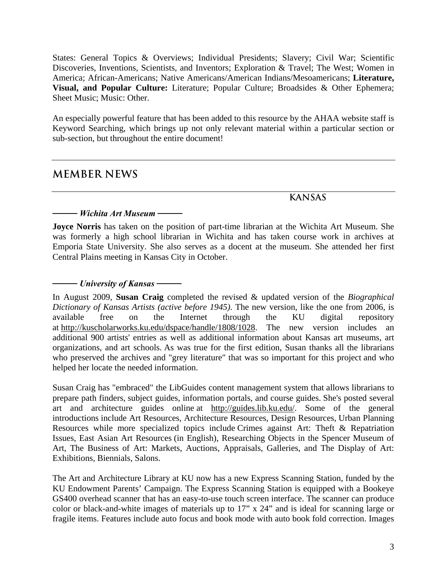States: General Topics & Overviews; Individual Presidents; Slavery; Civil War; Scientific Discoveries, Inventions, Scientists, and Inventors; Exploration & Travel; The West; Women in America; African-Americans; Native Americans/American Indians/Mesoamericans; **Literature, Visual, and Popular Culture:** Literature; Popular Culture; Broadsides & Other Ephemera; Sheet Music; Music: Other.

An especially powerful feature that has been added to this resource by the AHAA website staff is Keyword Searching, which brings up not only relevant material within a particular section or sub-section, but throughout the entire document!

# **MEMBER NEWS**

## **KANSAS**

### *──── Wichita Art Museum ────*

**Joyce Norris** has taken on the position of part-time librarian at the Wichita Art Museum. She was formerly a high school librarian in Wichita and has taken course work in archives at Emporia State University. She also serves as a docent at the museum. She attended her first Central Plains meeting in Kansas City in October.

### *──── University of Kansas ────*

In August 2009, **Susan Craig** completed the revised & updated version of the *Biographical Dictionary of Kansas Artists (active before 1945)*. The new version, like the one from 2006, is available free on the Internet through the KU digital repository at [http://kuscholarworks.ku.edu/dspace/handle/1808/1028.](http://kuscholarworks.ku.edu/dspace/handle/1808/1028) The new version includes an additional 900 artists' entries as well as additional information about Kansas art museums, art organizations, and art schools. As was true for the first edition, Susan thanks all the librarians who preserved the archives and "grey literature" that was so important for this project and who helped her locate the needed information.

Susan Craig has "embraced" the LibGuides content management system that allows librarians to prepare path finders, subject guides, information portals, and course guides. She's posted several art and architecture guides online at [http://guides.lib.ku.edu/.](http://guides.lib.ku.edu/) Some of the general introductions include Art Resources, Architecture Resources, Design Resources, Urban Planning Resources while more specialized topics include Crimes against Art: Theft & Repatriation Issues, East Asian Art Resources (in English), Researching Objects in the Spencer Museum of Art, The Business of Art: Markets, Auctions, Appraisals, Galleries, and The Display of Art: Exhibitions, Biennials, Salons.

The Art and Architecture Library at KU now has a new Express Scanning Station, funded by the KU Endowment Parents' Campaign. The Express Scanning Station is equipped with a Bookeye GS400 overhead scanner that has an easy-to-use touch screen interface. The scanner can produce color or black-and-white images of materials up to 17" x 24" and is ideal for scanning large or fragile items. Features include auto focus and book mode with auto book fold correction. Images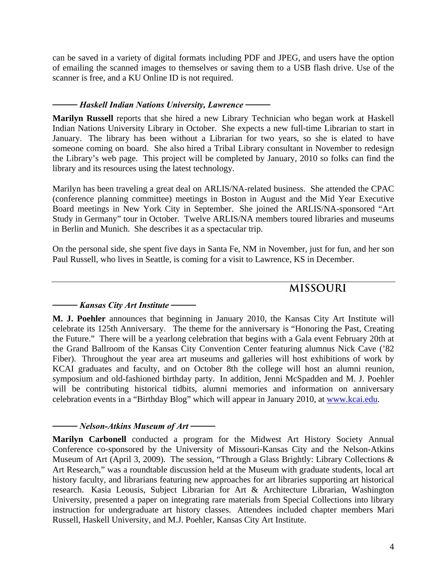can be saved in a variety of digital formats including PDF and JPEG, and users have the option of emailing the scanned images to themselves or saving them to a USB flash drive. Use of the scanner is free, and a KU Online ID is not required.

### *──── Haskell Indian Nations University, Lawrence ────*

**Marilyn Russell** reports that she hired a new Library Technician who began work at Haskell Indian Nations University Library in October. She expects a new full-time Librarian to start in January. The library has been without a Librarian for two years, so she is elated to have someone coming on board. She also hired a Tribal Library consultant in November to redesign the Library's web page. This project will be completed by January, 2010 so folks can find the library and its resources using the latest technology.

Marilyn has been traveling a great deal on ARLIS/NA-related business. She attended the CPAC (conference planning committee) meetings in Boston in August and the Mid Year Executive Board meetings in New York City in September. She joined the ARLIS/NA-sponsored "Art Study in Germany" tour in October. Twelve ARLIS/NA members toured libraries and museums in Berlin and Munich. She describes it as a spectacular trip.

On the personal side, she spent five days in Santa Fe, NM in November, just for fun, and her son Paul Russell, who lives in Seattle, is coming for a visit to Lawrence, KS in December.

# **MISSOURI**

#### *──── Kansas City Art Institute ────*

**M. J. Poehler** announces that beginning in January 2010, the Kansas City Art Institute will celebrate its 125th Anniversary. The theme for the anniversary is "Honoring the Past, Creating the Future." There will be a yearlong celebration that begins with a Gala event February 20th at the Grand Ballroom of the Kansas City Convention Center featuring alumnus Nick Cave ('82 Fiber). Throughout the year area art museums and galleries will host exhibitions of work by KCAI graduates and faculty, and on October 8th the college will host an alumni reunion, symposium and old-fashioned birthday party. In addition, Jenni McSpadden and M. J. Poehler will be contributing historical tidbits, alumni memories and information on anniversary celebration events in a "Birthday Blog" which will appear in January 2010, at [www.kcai.edu](http://www.kcai.edu/).

#### *──── Nelson-Atkins Museum of Art ────*

**Marilyn Carbonell** conducted a program for the Midwest Art History Society Annual Conference co-sponsored by the University of Missouri-Kansas City and the Nelson-Atkins Museum of Art (April 3, 2009). The session, "Through a Glass Brightly: Library Collections & Art Research," was a roundtable discussion held at the Museum with graduate students, local art history faculty, and librarians featuring new approaches for art libraries supporting art historical research. Kasia Leousis, Subject Librarian for Art & Architecture Librarian, Washington University, presented a paper on integrating rare materials from Special Collections into library instruction for undergraduate art history classes. Attendees included chapter members Mari Russell, Haskell University, and M.J. Poehler, Kansas City Art Institute.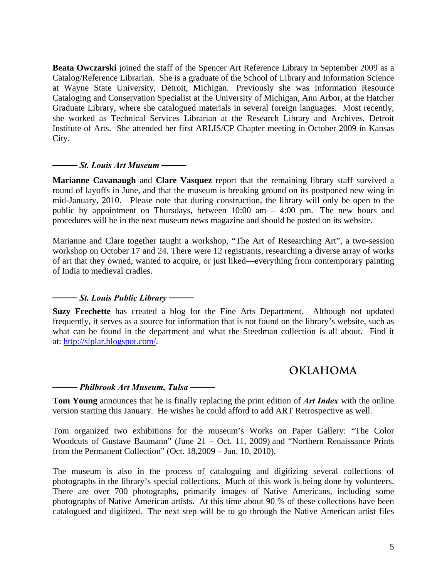**Beata Owczarski** joined the staff of the Spencer Art Reference Library in September 2009 as a Catalog/Reference Librarian. She is a graduate of the School of Library and Information Science at Wayne State University, Detroit, Michigan. Previously she was Information Resource Cataloging and Conservation Specialist at the University of Michigan, Ann Arbor, at the Hatcher Graduate Library, where she catalogued materials in several foreign languages. Most recently, she worked as Technical Services Librarian at the Research Library and Archives, Detroit Institute of Arts. She attended her first ARLIS/CP Chapter meeting in October 2009 in Kansas City.

#### *──── St. Louis Art Museum ────*

**Marianne Cavanaugh** and **Clare Vasquez** report that the remaining library staff survived a round of layoffs in June, and that the museum is breaking ground on its postponed new wing in mid-January, 2010. Please note that during construction, the library will only be open to the public by appointment on Thursdays, between 10:00 am – 4:00 pm. The new hours and procedures will be in the next museum news magazine and should be posted on its website.

Marianne and Clare together taught a workshop, "The Art of Researching Art", a two-session workshop on October 17 and 24. There were 12 registrants, researching a diverse array of works of art that they owned, wanted to acquire, or just liked—everything from contemporary painting of India to medieval cradles.

### *──── St. Louis Public Library ────*

**Suzy Frechette** has created a blog for the Fine Arts Department. Although not updated frequently, it serves as a source for information that is not found on the library's website, such as what can be found in the department and what the Steedman collection is all about. Find it at: [http://slplar.blogspot.com/.](http://slplar.blogspot.com/)

# **OKLAHOMA**

#### *──── Philbrook Art Museum, Tulsa ────*

**Tom Young** announces that he is finally replacing the print edition of *Art Index* with the online version starting this January. He wishes he could afford to add ART Retrospective as well.

Tom organized two exhibitions for the museum's Works on Paper Gallery: "The Color Woodcuts of Gustave Baumann" (June 21 – Oct. 11, 2009) and "Northern Renaissance Prints from the Permanent Collection" (Oct. 18,2009 – Jan. 10, 2010).

The museum is also in the process of cataloguing and digitizing several collections of photographs in the library's special collections. Much of this work is being done by volunteers. There are over 700 photographs, primarily images of Native Americans, including some photographs of Native American artists. At this time about 90 % of these collections have been catalogued and digitized. The next step will be to go through the Native American artist files